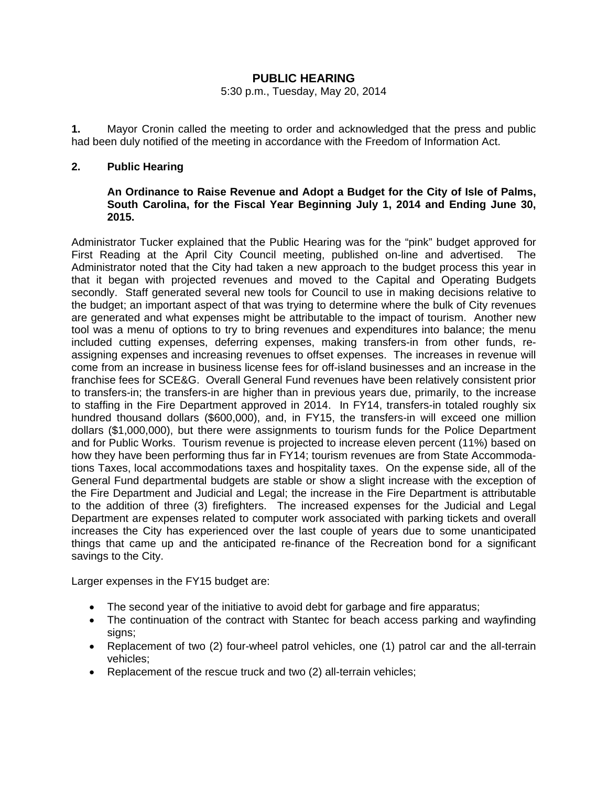# **PUBLIC HEARING**

#### 5:30 p.m., Tuesday, May 20, 2014

**1.** Mayor Cronin called the meeting to order and acknowledged that the press and public had been duly notified of the meeting in accordance with the Freedom of Information Act.

### **2. Public Hearing**

# **An Ordinance to Raise Revenue and Adopt a Budget for the City of Isle of Palms, South Carolina, for the Fiscal Year Beginning July 1, 2014 and Ending June 30, 2015.**

Administrator Tucker explained that the Public Hearing was for the "pink" budget approved for First Reading at the April City Council meeting, published on-line and advertised. The Administrator noted that the City had taken a new approach to the budget process this year in that it began with projected revenues and moved to the Capital and Operating Budgets secondly. Staff generated several new tools for Council to use in making decisions relative to the budget; an important aspect of that was trying to determine where the bulk of City revenues are generated and what expenses might be attributable to the impact of tourism. Another new tool was a menu of options to try to bring revenues and expenditures into balance; the menu included cutting expenses, deferring expenses, making transfers-in from other funds, reassigning expenses and increasing revenues to offset expenses. The increases in revenue will come from an increase in business license fees for off-island businesses and an increase in the franchise fees for SCE&G. Overall General Fund revenues have been relatively consistent prior to transfers-in; the transfers-in are higher than in previous years due, primarily, to the increase to staffing in the Fire Department approved in 2014. In FY14, transfers-in totaled roughly six hundred thousand dollars (\$600,000), and, in FY15, the transfers-in will exceed one million dollars (\$1,000,000), but there were assignments to tourism funds for the Police Department and for Public Works. Tourism revenue is projected to increase eleven percent (11%) based on how they have been performing thus far in FY14; tourism revenues are from State Accommodations Taxes, local accommodations taxes and hospitality taxes. On the expense side, all of the General Fund departmental budgets are stable or show a slight increase with the exception of the Fire Department and Judicial and Legal; the increase in the Fire Department is attributable to the addition of three (3) firefighters. The increased expenses for the Judicial and Legal Department are expenses related to computer work associated with parking tickets and overall increases the City has experienced over the last couple of years due to some unanticipated things that came up and the anticipated re-finance of the Recreation bond for a significant savings to the City.

Larger expenses in the FY15 budget are:

- The second year of the initiative to avoid debt for garbage and fire apparatus;
- The continuation of the contract with Stantec for beach access parking and wayfinding signs;
- Replacement of two (2) four-wheel patrol vehicles, one (1) patrol car and the all-terrain vehicles;
- Replacement of the rescue truck and two (2) all-terrain vehicles;